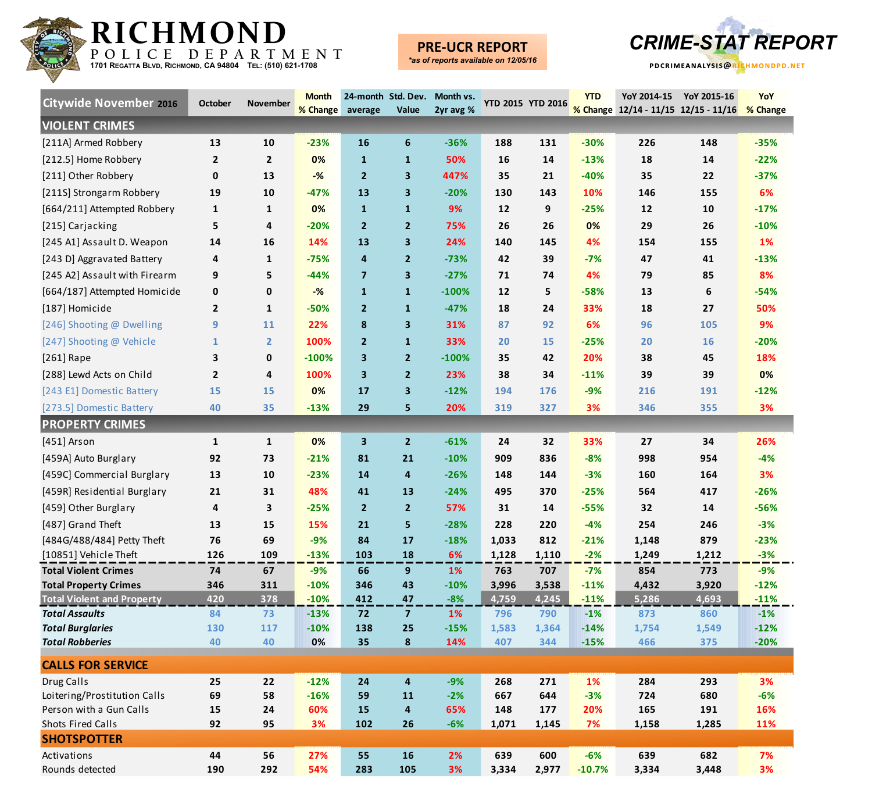

### **PRE-UCR REPORT**



| <b>Citywide November 2016</b>                               | <b>October</b> | November       | <b>Month</b><br>% Change average | 24-month Std. Dev. | Value                   | Month vs.<br>2yr avg % | YTD 2015 YTD 2016 |              | <b>YTD</b>      | YoY 2014-15<br>% Change 12/14 - 11/15 12/15 - 11/16 % Change | YoY 2015-16  | YoY             |
|-------------------------------------------------------------|----------------|----------------|----------------------------------|--------------------|-------------------------|------------------------|-------------------|--------------|-----------------|--------------------------------------------------------------|--------------|-----------------|
| <b>VIOLENT CRIMES</b>                                       |                |                |                                  |                    |                         |                        |                   |              |                 |                                                              |              |                 |
| [211A] Armed Robbery                                        | 13             | 10             | $-23%$                           | 16                 | 6                       | $-36%$                 | 188               | 131          | $-30%$          | 226                                                          | 148          | $-35%$          |
| [212.5] Home Robbery                                        | $\mathbf{2}$   | $\overline{2}$ | 0%                               | 1                  | $\mathbf{1}$            | 50%                    | 16                | 14           | $-13%$          | 18                                                           | 14           | $-22%$          |
| [211] Other Robbery                                         | 0              | 13             | $-%$                             | 2                  | $\mathbf{3}$            | 447%                   | 35                | 21           | $-40%$          | 35                                                           | 22           | $-37%$          |
| [211S] Strongarm Robbery                                    | 19             | 10             | $-47%$                           | 13                 | $\mathbf{3}$            | $-20%$                 | 130               | 143          | 10%             | 146                                                          | 155          | 6%              |
| [664/211] Attempted Robbery                                 | 1              | 1              | 0%                               | $\mathbf{1}$       | $\mathbf{1}$            | 9%                     | 12                | 9            | $-25%$          | 12                                                           | 10           | $-17%$          |
| [215] Carjacking                                            | 5              | 4              | $-20%$                           | $\mathbf{2}$       | $\mathbf{2}$            | 75%                    | 26                | 26           | 0%              | 29                                                           | 26           | $-10%$          |
| [245 A1] Assault D. Weapon                                  | 14             | 16             | 14%                              | 13                 | $\mathbf{3}$            | 24%                    | 140               | 145          | 4%              | 154                                                          | 155          | 1%              |
| [243 D] Aggravated Battery                                  | 4              | 1              | $-75%$                           | 4                  | $\mathbf{2}$            | $-73%$                 | 42                | 39           | $-7%$           | 47                                                           | 41           | $-13%$          |
| [245 A2] Assault with Firearm                               | 9              | 5              | $-44%$                           | 7                  | $\mathbf{3}$            | $-27%$                 | 71                | 74           | 4%              | 79                                                           | 85           | 8%              |
| [664/187] Attempted Homicide                                | 0              | 0              | $-%$                             | $\mathbf{1}$       | $\mathbf{1}$            | $-100%$                | 12                | 5            | $-58%$          | 13                                                           | 6            | $-54%$          |
| [187] Homicide                                              | $\mathbf{2}$   | 1              | $-50%$                           | $\mathbf{2}$       | $\mathbf{1}$            | $-47%$                 | 18                | 24           | 33%             | 18                                                           | 27           | 50%             |
| [246] Shooting @ Dwelling                                   | 9              | 11             | 22%                              | 8                  | $\mathbf{3}$            | 31%                    | 87                | 92           | 6%              | 96                                                           | 105          | 9%              |
| [247] Shooting @ Vehicle                                    | $\mathbf{1}$   | $\overline{2}$ | 100%                             | $\overline{2}$     | $\mathbf{1}$            | 33%                    | 20                | 15           | $-25%$          | 20                                                           | 16           | $-20%$          |
| [261] Rape                                                  | 3              | 0              | $-100%$                          | 3                  | $\overline{2}$          | $-100%$                | 35                | 42           | 20%             | 38                                                           | 45           | 18%             |
| [288] Lewd Acts on Child                                    | $\mathbf{2}$   | 4              | 100%                             | 3                  | $\mathbf{2}$            | 23%                    | 38                | 34           | $-11%$          | 39                                                           | 39           | 0%              |
| [243 E1] Domestic Battery                                   | 15             | 15             | 0%                               | 17                 | 3                       | $-12%$                 | 194               | 176          | $-9%$           | 216                                                          | 191          | $-12%$          |
| [273.5] Domestic Battery                                    | 40             | 35             | $-13%$                           | 29                 | 5                       | 20%                    | 319               | 327          | 3%              | 346                                                          | 355          | 3%              |
| <b>PROPERTY CRIMES</b>                                      |                |                |                                  |                    |                         |                        |                   |              |                 |                                                              |              |                 |
| [451] Arson                                                 | 1              | $\mathbf{1}$   | 0%                               | 3                  | $\mathbf{2}$            | $-61%$                 | 24                | 32           | 33%             | 27                                                           | 34           | 26%             |
|                                                             |                |                |                                  |                    |                         |                        |                   |              |                 |                                                              |              | $-4%$           |
| [459A] Auto Burglary                                        | 92             | 73             | $-21%$                           | 81                 | 21                      | $-10%$                 | 909               | 836          | $-8%$           | 998                                                          | 954          |                 |
| [459C] Commercial Burglary                                  | 13             | 10             | $-23%$                           | 14                 | 4                       | $-26%$                 | 148               | 144          | $-3%$           | 160                                                          | 164          | 3%              |
| [459R] Residential Burglary                                 | 21             | 31             | 48%                              | 41                 | 13                      | $-24%$                 | 495               | 370          | $-25%$          | 564                                                          | 417          | $-26%$          |
| [459] Other Burglary                                        | 4              | 3              | $-25%$                           | $\mathbf{2}$       | $\overline{2}$          | 57%                    | 31                | 14           | $-55%$          | 32                                                           | 14           | $-56%$          |
| [487] Grand Theft                                           | 13             | 15             | 15%                              | 21                 | 5                       | $-28%$                 | 228               | 220          | $-4%$           | 254                                                          | 246          | $-3%$           |
| [484G/488/484] Petty Theft                                  | 76             | 69             | $-9%$                            | 84                 | 17                      | $-18%$                 | 1,033             | 812          | $-21%$          | 1,148                                                        | 879          | $-23%$          |
| [10851] Vehicle Theft                                       | 126            | 109            | $-13%$                           | 103                | 18                      | 6%                     | 1,128             | 1,110        | $-2%$           | 1,249                                                        | 1,212        | $-3%$           |
| <b>Total Violent Crimes</b><br><b>Total Property Crimes</b> | 74<br>346      | 67<br>311      | $-9%$<br>$-10%$                  | 66<br>346          | 9<br>43                 | 1%<br>$-10%$           | 763<br>3,996      | 707<br>3,538 | $-7%$<br>$-11%$ | 854<br>4,432                                                 | 773<br>3,920 | $-9%$<br>$-12%$ |
| <b>Total Violent and Property</b>                           | 420            | 378            | $-10%$                           | 412                | 47                      | $-8%$                  | 4,759             | 4,245        | $-11%$          | 5,286                                                        | 4,693        | $-11%$          |
| <b>Total Assaults</b>                                       | 84             | 73             | $-13%$                           | 72                 | $\overline{7}$          | 1%                     | 796               | 790          | $-1%$           | 873                                                          | 860          | $-1%$           |
| <b>Total Burglaries</b>                                     | 130            | 117            | $-10%$                           | 138                | 25                      | $-15%$                 | 1,583             | 1,364        | $-14%$          | 1,754                                                        | 1,549        | $-12%$          |
| <b>Total Robberies</b>                                      | 40             | 40             | 0%                               | 35                 | $\boldsymbol{8}$        | 14%                    | 407               | 344          | $-15%$          | 466                                                          | 375          | $-20%$          |
| <b>CALLS FOR SERVICE</b>                                    |                |                |                                  |                    |                         |                        |                   |              |                 |                                                              |              |                 |
| Drug Calls                                                  | 25             | 22             | $-12%$                           | 24                 | $\overline{\mathbf{4}}$ | $-9%$                  | 268               | 271          | 1%              | 284                                                          | 293          | 3%              |
| Loitering/Prostitution Calls                                | 69             | 58             | $-16%$                           | 59                 | 11                      | $-2%$                  | 667               | 644          | $-3%$           | 724                                                          | 680          | $-6%$           |
| Person with a Gun Calls                                     | 15             | 24             | 60%                              | 15                 | $\overline{\mathbf{4}}$ | 65%                    | 148               | 177          | 20%             | 165                                                          | 191          | 16%             |
| <b>Shots Fired Calls</b>                                    | 92             | 95             | 3%                               | 102                | 26                      | $-6%$                  | 1,071             | 1,145        | 7%              | 1,158                                                        | 1,285        | 11%             |
| <b>SHOTSPOTTER</b>                                          |                |                |                                  |                    |                         |                        |                   |              |                 |                                                              |              |                 |
| Activations                                                 | 44             | 56             | 27%                              | 55                 | 16                      | 2%                     | 639               | 600          | $-6%$           | 639                                                          | 682          | 7%              |
| Rounds detected                                             | 190            | 292            | 54%                              | 283                | 105                     | 3%                     | 3,334             | 2,977        | $-10.7%$        | 3,334                                                        | 3,448        | 3%              |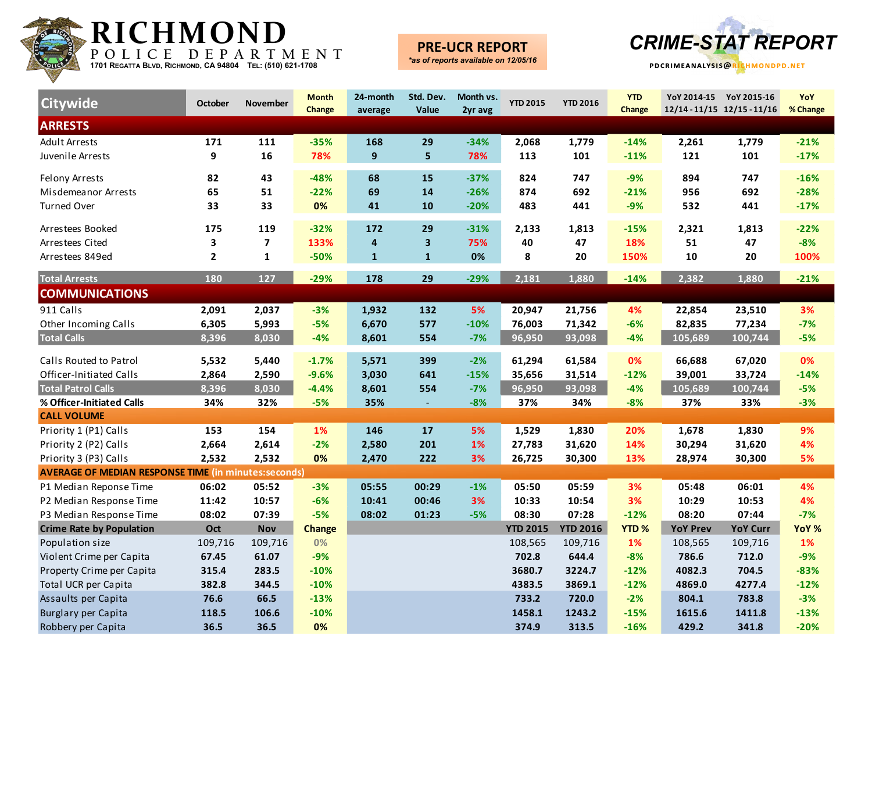

## **PRE-UCR REPORT**



| <b>Citywide</b>                                             | <b>October</b> | <b>November</b>         | <b>Month</b><br>Change | 24-month<br>average | Std. Dev.<br>Value      | Month vs.<br>2yr avg | <b>YTD 2015</b> | <b>YTD 2016</b> | <b>YTD</b><br><b>Change</b> |                 | YoY 2014-15 YoY 2015-16<br>12/14-11/15 12/15-11/16 | YoY<br>% Change |
|-------------------------------------------------------------|----------------|-------------------------|------------------------|---------------------|-------------------------|----------------------|-----------------|-----------------|-----------------------------|-----------------|----------------------------------------------------|-----------------|
| <b>ARRESTS</b>                                              |                |                         |                        |                     |                         |                      |                 |                 |                             |                 |                                                    |                 |
| <b>Adult Arrests</b>                                        | 171            | 111                     | $-35%$                 | 168                 | 29                      | $-34%$               | 2,068           | 1,779           | $-14%$                      | 2,261           | 1,779                                              | $-21%$          |
| Juvenile Arrests                                            | 9              | 16                      | 78%                    | 9                   | 5 <sup>1</sup>          | 78%                  | 113             | 101             | $-11%$                      | 121             | 101                                                | $-17%$          |
| <b>Felony Arrests</b>                                       | 82             | 43                      | $-48%$                 | 68                  | 15                      | $-37%$               | 824             | 747             | $-9%$                       | 894             | 747                                                | $-16%$          |
| Misdemeanor Arrests                                         | 65             | 51                      | $-22%$                 | 69                  | 14                      | $-26%$               | 874             | 692             | $-21%$                      | 956             | 692                                                | $-28%$          |
| <b>Turned Over</b>                                          | 33             | 33                      | 0%                     | 41                  | 10                      | $-20%$               | 483             | 441             | $-9%$                       | 532             | 441                                                | $-17%$          |
| Arrestees Booked                                            | 175            | 119                     | $-32%$                 | 172                 | 29                      | $-31%$               | 2,133           | 1,813           | $-15%$                      | 2,321           | 1,813                                              | $-22%$          |
| Arrestees Cited                                             | 3              | $\overline{\mathbf{z}}$ | 133%                   | 4                   | $\overline{\mathbf{3}}$ | 75%                  | 40              | 47              | 18%                         | 51              | 47                                                 | $-8%$           |
| Arrestees 849ed                                             | $\mathbf{2}$   | ${\bf 1}$               | $-50%$                 | $\mathbf{1}$        | $\mathbf{1}$            | 0%                   | 8               | 20              | 150%                        | 10              | 20                                                 | 100%            |
| <b>Total Arrests</b>                                        | 180            | 127                     | $-29%$                 | 178                 | 29                      | $-29%$               | 2,181           | 1,880           | $-14%$                      | 2,382           | 1,880                                              | $-21%$          |
| <b>COMMUNICATIONS</b>                                       |                |                         |                        |                     |                         |                      |                 |                 |                             |                 |                                                    |                 |
| 911 Calls                                                   | 2,091          | 2,037                   | $-3%$                  | 1,932               | 132                     | 5%                   | 20,947          | 21,756          | 4%                          | 22,854          | 23,510                                             | 3%              |
| Other Incoming Calls                                        | 6,305          | 5,993                   | $-5%$                  | 6,670               | 577                     | $-10%$               | 76,003          | 71,342          | $-6%$                       | 82,835          | 77,234                                             | $-7%$           |
| <b>Total Calls</b>                                          | 8,396          | 8,030                   | $-4%$                  | 8,601               | 554                     | $-7%$                | 96,950          | 93,098          | $-4%$                       | 105,689         | 100,744                                            | $-5%$           |
| Calls Routed to Patrol                                      | 5,532          | 5,440                   | $-1.7%$                | 5,571               | 399                     | $-2%$                | 61,294          | 61,584          | 0%                          | 66,688          | 67,020                                             | 0%              |
| Officer-Initiated Calls                                     | 2,864          | 2,590                   | $-9.6%$                | 3,030               | 641                     | $-15%$               | 35,656          | 31,514          | $-12%$                      | 39,001          | 33,724                                             | $-14%$          |
| <b>Total Patrol Calls</b>                                   | 8,396          | 8,030                   | $-4.4%$                | 8,601               | 554                     | $-7%$                | 96,950          | 93,098          | $-4%$                       | 105,689         | 100,744                                            | $-5%$           |
| % Officer-Initiated Calls                                   | 34%            | 32%                     | $-5%$                  | 35%                 |                         | $-8%$                | 37%             | 34%             | $-8%$                       | 37%             | 33%                                                | $-3%$           |
| <b>CALL VOLUME</b>                                          |                |                         |                        |                     |                         |                      |                 |                 |                             |                 |                                                    |                 |
| Priority 1 (P1) Calls                                       | 153            | 154                     | 1%                     | 146                 | 17                      | 5%                   | 1,529           | 1,830           | 20%                         | 1,678           | 1,830                                              | 9%              |
| Priority 2 (P2) Calls                                       | 2,664          | 2,614                   | $-2%$                  | 2,580               | 201                     | 1%                   | 27,783          | 31,620          | 14%                         | 30,294          | 31,620                                             | 4%              |
| Priority 3 (P3) Calls                                       | 2,532          | 2,532                   | 0%                     | 2,470               | 222                     | 3%                   | 26,725          | 30,300          | 13%                         | 28,974          | 30,300                                             | 5%              |
| <b>AVERAGE OF MEDIAN RESPONSE TIME (in minutes:seconds)</b> |                |                         |                        |                     |                         |                      |                 |                 |                             |                 |                                                    |                 |
| P1 Median Reponse Time                                      | 06:02          | 05:52                   | $-3%$                  | 05:55               | 00:29                   | $-1%$                | 05:50           | 05:59           | 3%                          | 05:48           | 06:01                                              | 4%              |
| P2 Median Response Time                                     | 11:42          | 10:57                   | $-6%$                  | 10:41               | 00:46                   | 3%                   | 10:33           | 10:54           | 3%                          | 10:29           | 10:53                                              | 4%              |
| P3 Median Response Time                                     | 08:02          | 07:39                   | $-5%$                  | 08:02               | 01:23                   | $-5%$                | 08:30           | 07:28           | $-12%$                      | 08:20           | 07:44                                              | $-7%$           |
| <b>Crime Rate by Population</b>                             | Oct            | <b>Nov</b>              | <b>Change</b>          |                     |                         |                      | <b>YTD 2015</b> | <b>YTD 2016</b> | <b>YTD%</b>                 | <b>YoY Prev</b> | <b>YoY Curr</b>                                    | YoY %           |
| Population size                                             | 109,716        | 109,716                 | 0%                     |                     |                         |                      | 108,565         | 109,716         | 1%                          | 108,565         | 109,716                                            | 1%              |
| Violent Crime per Capita                                    | 67.45          | 61.07                   | $-9%$                  |                     |                         |                      | 702.8           | 644.4           | $-8%$                       | 786.6           | 712.0                                              | $-9%$           |
| Property Crime per Capita                                   | 315.4          | 283.5                   | $-10%$                 |                     |                         |                      | 3680.7          | 3224.7          | $-12%$                      | 4082.3          | 704.5                                              | $-83%$          |
| Total UCR per Capita                                        | 382.8          | 344.5                   | $-10%$                 |                     |                         |                      | 4383.5          | 3869.1          | $-12%$                      | 4869.0          | 4277.4                                             | $-12%$          |
| Assaults per Capita                                         | 76.6           | 66.5                    | $-13%$                 |                     |                         |                      | 733.2           | 720.0           | $-2%$                       | 804.1           | 783.8                                              | $-3%$           |
| Burglary per Capita                                         | 118.5          | 106.6                   | $-10%$                 |                     |                         |                      | 1458.1          | 1243.2          | $-15%$                      | 1615.6          | 1411.8                                             | $-13%$          |
| Robbery per Capita                                          | 36.5           | 36.5                    | 0%                     |                     |                         |                      | 374.9           | 313.5           | $-16%$                      | 429.2           | 341.8                                              | $-20%$          |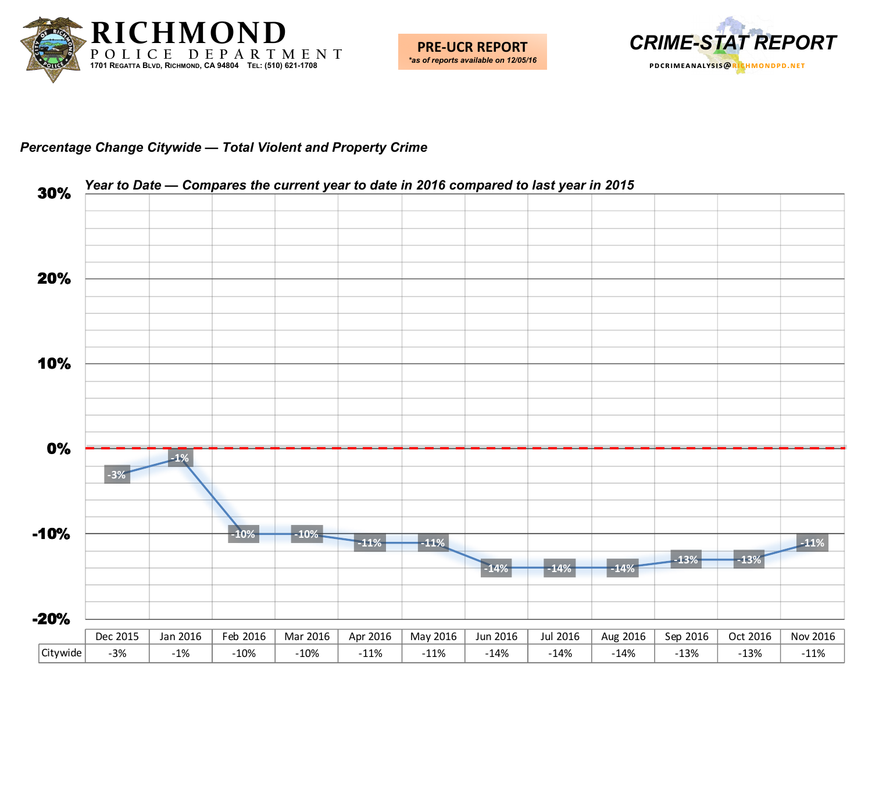



#### *Percentage Change Citywide — Total Violent and Property Crime*

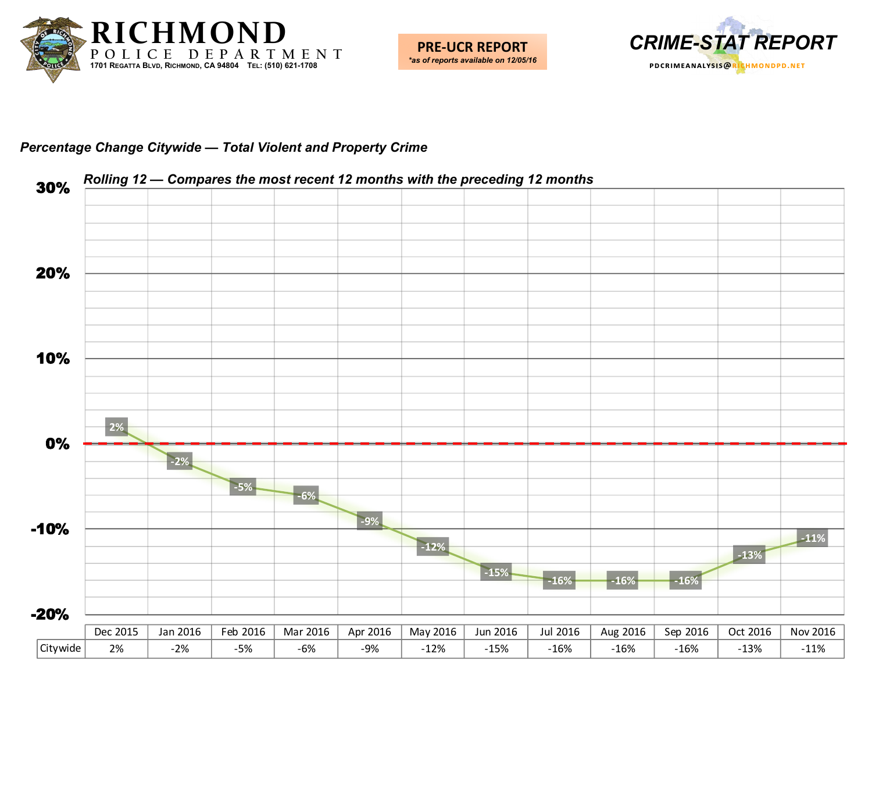



#### *Percentage Change Citywide — Total Violent and Property Crime*

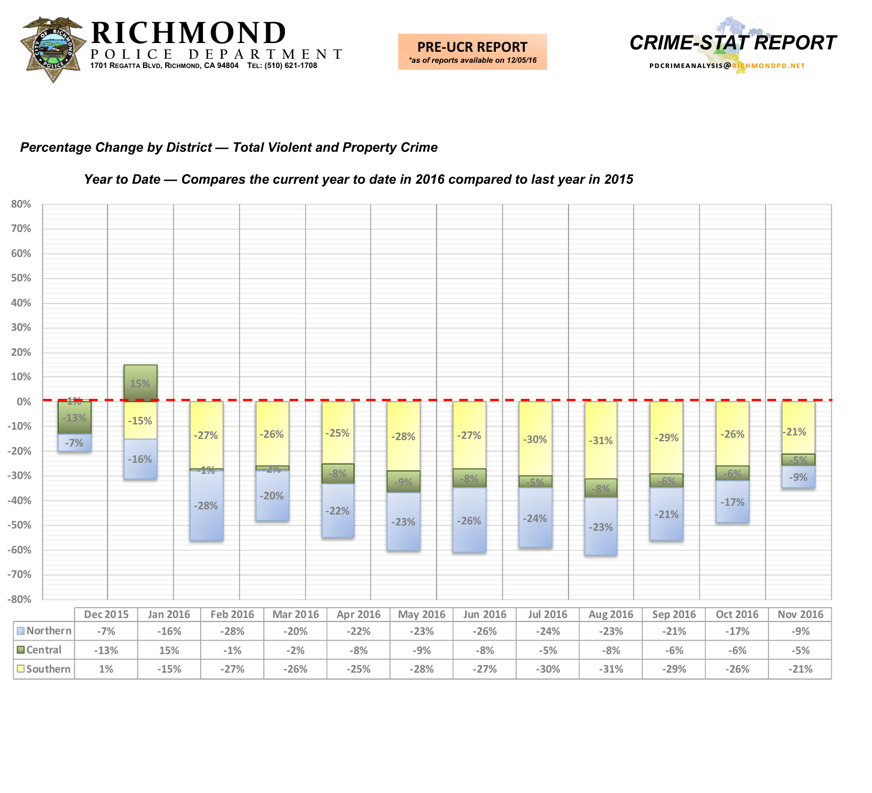



### *Percentage Change by District — Total Violent and Property Crime*



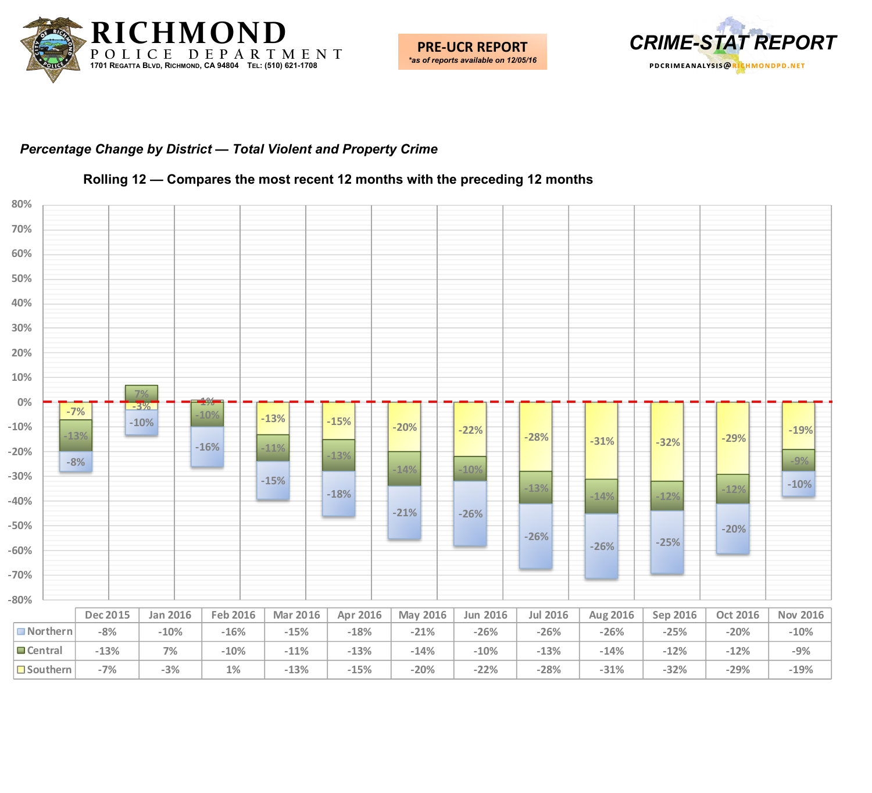



### *Percentage Change by District — Total Violent and Property Crime*



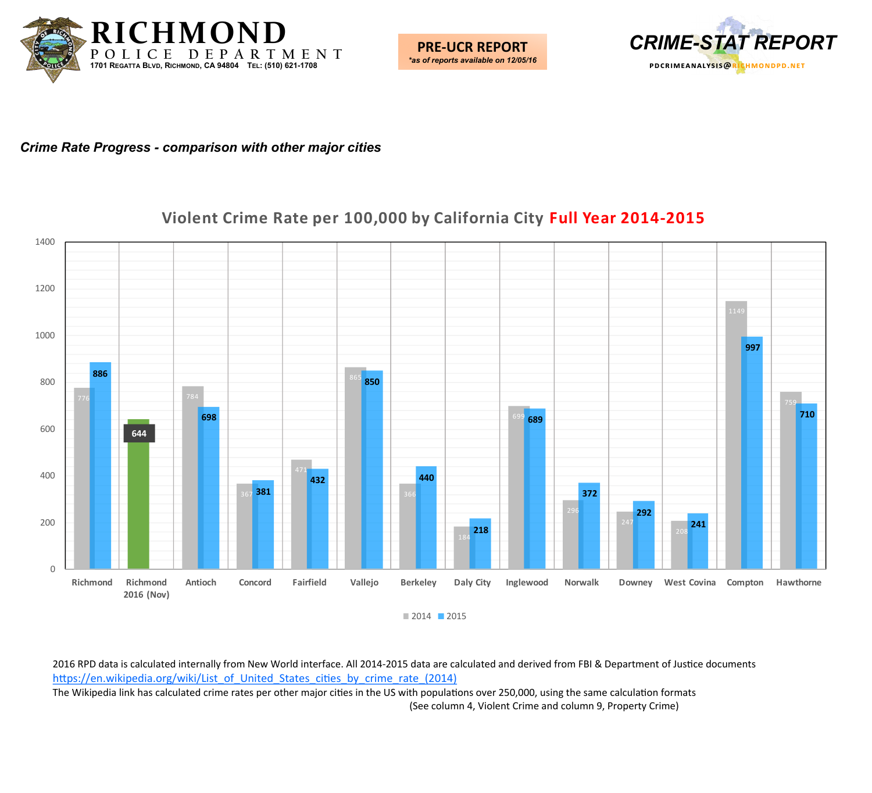![](_page_6_Picture_0.jpeg)

![](_page_6_Picture_1.jpeg)

![](_page_6_Picture_2.jpeg)

*Crime Rate Progress - comparison with other major cities*

## **Violent Crime Rate per 100,000 by California City Full Year 2014-2015**

![](_page_6_Figure_5.jpeg)

■ 2014 ■ 2015

2016 RPD data is calculated internally from New World interface. All 2014-2015 data are calculated and derived from FBI & Department of Justice documents [https://en.wikipedia.org/wiki/List\\_of\\_United\\_States\\_cities\\_by\\_crime\\_rate\\_\(2014\)](https://en.wikipedia.org/wiki/List_of_United_States_cities_by_crime_rate_(2014))

The Wikipedia link has calculated crime rates per other major cities in the US with populations over 250,000, using the same calculation formats (See column 4, Violent Crime and column 9, Property Crime)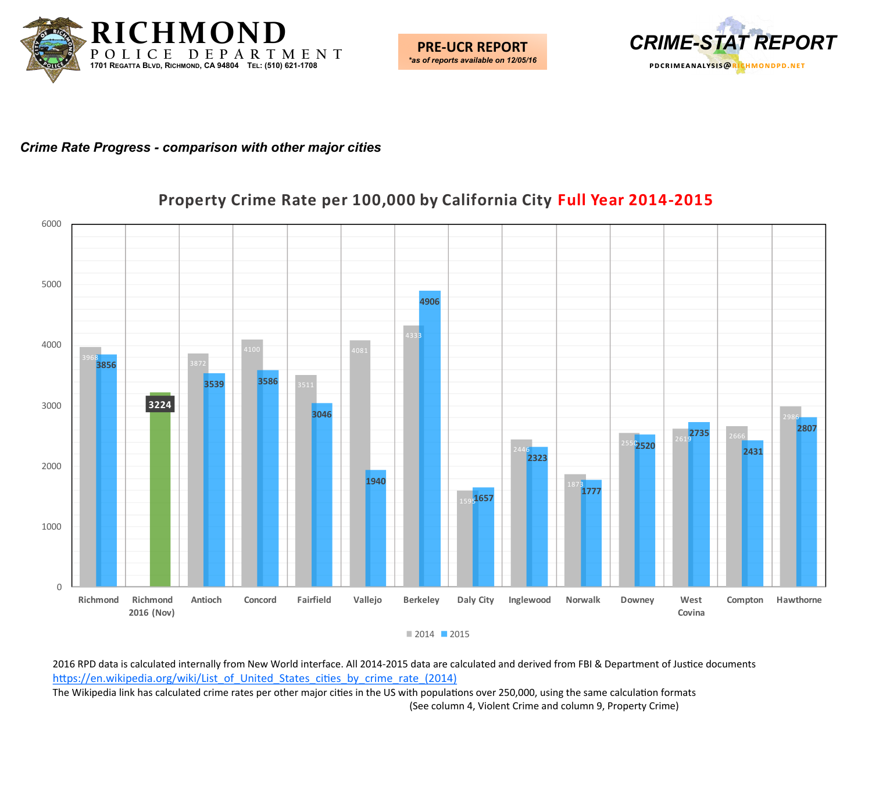![](_page_7_Picture_0.jpeg)

![](_page_7_Picture_1.jpeg)

![](_page_7_Picture_2.jpeg)

#### *Crime Rate Progress - comparison with other major cities*

## **Property Crime Rate per 100,000 by California City Full Year 2014-2015**

![](_page_7_Figure_5.jpeg)

2016 RPD data is calculated internally from New World interface. All 2014-2015 data are calculated and derived from FBI & Department of Justice documents [https://en.wikipedia.org/wiki/List\\_of\\_United\\_States\\_cities\\_by\\_crime\\_rate\\_\(2014\)](https://en.wikipedia.org/wiki/List_of_United_States_cities_by_crime_rate_(2014))

The Wikipedia link has calculated crime rates per other major cities in the US with populations over 250,000, using the same calculation formats (See column 4, Violent Crime and column 9, Property Crime)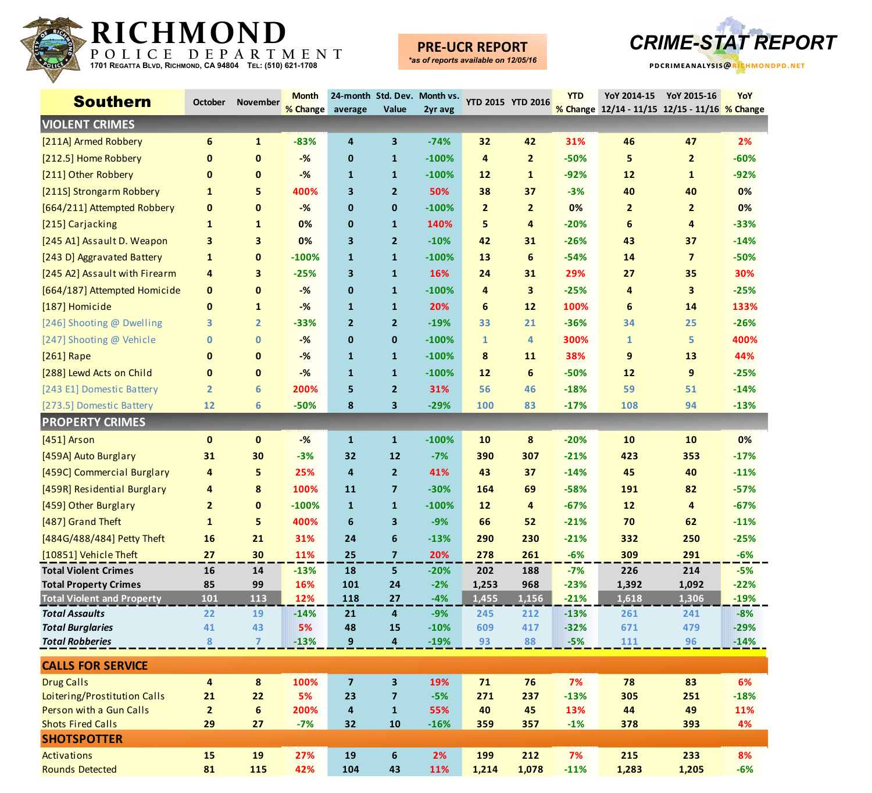![](_page_8_Picture_0.jpeg)

## **PRE-UCR REPORT**

![](_page_8_Picture_4.jpeg)

| <b>Southern</b>                                     | October            | <b>November</b>        | <b>Month</b><br>% Change | average                 | Value                         | 24-month Std. Dev. Month vs.<br>2yr avg | <b>YTD 2015 YTD 2016</b> |                | <b>YTD</b>      | YoY 2014-15<br>% Change 12/14 - 11/15 12/15 - 11/16 % Change | YoY 2015-16             | <b>YoY</b>       |
|-----------------------------------------------------|--------------------|------------------------|--------------------------|-------------------------|-------------------------------|-----------------------------------------|--------------------------|----------------|-----------------|--------------------------------------------------------------|-------------------------|------------------|
| <b>VIOLENT CRIMES</b>                               |                    |                        |                          |                         |                               |                                         |                          |                |                 |                                                              |                         |                  |
| [211A] Armed Robbery                                | 6                  | $\mathbf{1}$           | $-83%$                   | 4                       | 3                             | $-74%$                                  | 32                       | 42             | 31%             | 46                                                           | 47                      | 2%               |
| [212.5] Home Robbery                                | $\mathbf 0$        | $\mathbf{0}$           | $-%$                     | $\mathbf 0$             | $\mathbf{1}$                  | $-100%$                                 | 4                        | $\overline{2}$ | $-50%$          | 5                                                            | $\overline{2}$          | $-60%$           |
| [211] Other Robbery                                 | $\mathbf 0$        | $\mathbf{0}$           | $-%$                     | $\mathbf{1}$            | $\mathbf{1}$                  | $-100%$                                 | 12                       | 1              | $-92%$          | $12$                                                         | $\mathbf{1}$            | $-92%$           |
| [211S] Strongarm Robbery                            | $\mathbf{1}$       | 5                      | 400%                     | $\overline{\mathbf{3}}$ | $\overline{2}$                | 50%                                     | 38                       | 37             | $-3%$           | 40                                                           | 40                      | 0%               |
| [664/211] Attempted Robbery                         | $\mathbf 0$        | 0                      | $-%$                     | $\mathbf 0$             | $\mathbf 0$                   | $-100%$                                 | $\overline{2}$           | $\overline{2}$ | 0%              | $\overline{2}$                                               | $\overline{2}$          | 0%               |
| [215] Carjacking                                    | $\mathbf{1}$       | $\mathbf{1}$           | 0%                       | $\mathbf 0$             | $\mathbf{1}$                  | 140%                                    | 5                        | 4              | $-20%$          | 6                                                            | 4                       | $-33%$           |
| [245 A1] Assault D. Weapon                          | 3                  | 3                      | 0%                       | $\overline{\mathbf{3}}$ | $\overline{2}$                | $-10%$                                  | 42                       | 31             | $-26%$          | 43                                                           | 37                      | $-14%$           |
| [243 D] Aggravated Battery                          | $\mathbf{1}$       | 0                      | $-100%$                  | $\mathbf{1}$            | $\mathbf{1}$                  | $-100%$                                 | 13                       | 6              | $-54%$          | 14                                                           | $\overline{\mathbf{z}}$ | $-50%$           |
| [245 A2] Assault with Firearm                       | 4                  | 3                      | $-25%$                   | $\overline{\mathbf{3}}$ | $\mathbf{1}$                  | 16%                                     | 24                       | 31             | 29%             | 27                                                           | 35                      | 30%              |
| [664/187] Attempted Homicide                        | $\mathbf{0}$       | 0                      | $-%$                     | $\mathbf 0$             | $\mathbf{1}$                  | $-100%$                                 | $\overline{4}$           | 3              | $-25%$          | 4                                                            | 3                       | $-25%$           |
| [187] Homicide                                      | $\mathbf 0$        | $\mathbf{1}$           | $-%$                     | $\mathbf{1}$            | $\mathbf{1}$                  | 20%                                     | 6                        | $12$           | 100%            | 6                                                            | 14                      | 133%             |
| [246] Shooting @ Dwelling                           | 3                  | $\overline{2}$         | $-33%$                   | $\overline{2}$          | $\overline{2}$                | $-19%$                                  | 33                       | 21             | $-36%$          | 34                                                           | 25                      | $-26%$           |
| [247] Shooting @ Vehicle                            | $\bf{0}$           | 0                      | $-%$                     | $\mathbf 0$             | $\mathbf{0}$                  | $-100%$                                 | $\mathbf{1}$             | 4              | 300%            | $\mathbf{1}$                                                 | 5                       | 400%             |
| [261] Rape                                          | $\mathbf{0}$       | $\mathbf{0}$           | $-%$                     | $\mathbf{1}$            | $\mathbf{1}$                  | $-100%$                                 | 8                        | 11             | 38%             | 9                                                            | 13                      | 44%              |
| [288] Lewd Acts on Child                            | $\mathbf 0$        | $\mathbf 0$            | $-%$                     | $\mathbf{1}$            | $\mathbf{1}$                  | $-100%$                                 | 12                       | 6              | $-50%$          | $12$                                                         | 9                       | $-25%$           |
| [243 E1] Domestic Battery                           | $\overline{2}$     | 6                      | 200%                     | 5                       | $\overline{2}$                | 31%                                     | 56                       | 46             | $-18%$          | 59                                                           | 51                      | $-14%$           |
| [273.5] Domestic Battery                            | 12                 | 6                      | $-50%$                   | 8                       | 3                             | $-29%$                                  | 100                      | 83             | $-17%$          | 108                                                          | 94                      | $-13%$           |
| <b>PROPERTY CRIMES</b>                              |                    |                        |                          |                         |                               |                                         |                          |                |                 |                                                              |                         |                  |
| [451] Arson                                         | $\mathbf{0}$       | $\mathbf{0}$           | $-%$                     | $\mathbf{1}$            | $\mathbf{1}$                  | $-100%$                                 | 10                       | 8              | $-20%$          | 10                                                           | 10                      | 0%               |
| [459A] Auto Burglary                                | 31                 | 30                     | $-3%$                    | 32                      | 12                            | $-7%$                                   | 390                      | 307            | $-21%$          | 423                                                          | 353                     | $-17%$           |
| [459C] Commercial Burglary                          | 4                  | 5                      | 25%                      | 4                       | $\overline{2}$                | 41%                                     | 43                       | 37             | $-14%$          | 45                                                           | 40                      | $-11%$           |
| [459R] Residential Burglary                         | 4                  | 8                      | 100%                     | 11                      | $\overline{\mathbf{z}}$       | $-30%$                                  | 164                      | 69             | $-58%$          | 191                                                          | 82                      | $-57%$           |
| [459] Other Burglary                                | $\overline{2}$     | 0                      | $-100%$                  | $\mathbf{1}$            | $\mathbf{1}$                  | $-100%$                                 | 12                       | 4              | $-67%$          | $12$                                                         | 4                       | $-67%$           |
| [487] Grand Theft                                   | $\mathbf{1}$       | 5                      | 400%                     | 6                       | 3                             | $-9%$                                   | 66                       | 52             | $-21%$          | 70                                                           | 62                      | $-11%$           |
| [484G/488/484] Petty Theft                          | 16                 | 21                     | 31%                      | 24                      | $\boldsymbol{6}$              | $-13%$                                  | 290                      | 230            | $-21%$          | 332                                                          | 250                     | $-25%$           |
| [10851] Vehicle Theft                               | 27                 | 30                     | 11%                      | 25                      | $\overline{7}$                | 20%                                     | 278                      | 261            | $-6%$           | 309                                                          | 291                     | $-6%$            |
| <b>Total Violent Crimes</b>                         | 16                 | 14                     | $-13%$                   | 18                      | 5                             | $-20%$                                  | 202                      | 188            | $-7%$           | 226                                                          | 214                     | $-5%$            |
| <b>Total Property Crimes</b>                        | 85                 | 99                     | <b>16%</b>               | <b>101</b>              | 24                            | $-2%$                                   | 1,253                    | 968            | $-23%$          | 1,392                                                        | 1,092                   | $-22%$           |
| <b>Total Violent and Property</b>                   | 101                | 113                    | 12%                      | 118                     | 27                            | $-4%$                                   | 1,455                    | 1,156          | $-21%$          | 1,618                                                        | 1,306                   | $-19%$           |
| <b>Total Assaults</b>                               | 22                 | 19                     | $-14%$                   | 21                      | 4                             | $-9%$                                   | 245                      | 212            | $-13%$          | 261                                                          | 241                     | $-8%$            |
| <b>Total Burglaries</b><br><b>Total Robberies</b>   | 41<br>8            | 43<br>$\overline{7}$   | 5%<br>$-13%$             | 48<br>9                 | 15<br>$\overline{\mathbf{4}}$ | $-10%$<br>$-19%$                        | 609<br>93                | 417<br>88      | $-32%$<br>$-5%$ | 671<br>111                                                   | 479<br>96               | $-29%$<br>$-14%$ |
|                                                     |                    |                        |                          |                         |                               |                                         |                          |                |                 |                                                              |                         |                  |
| <b>CALLS FOR SERVICE</b>                            |                    |                        |                          |                         |                               |                                         |                          |                |                 |                                                              |                         |                  |
| <b>Drug Calls</b>                                   | 4                  | $\pmb{8}$              | 100%                     | $\overline{\mathbf{z}}$ | $\overline{\mathbf{3}}$       | 19%                                     | ${\bf 71}$               | 76             | 7%              | 78                                                           | 83                      | 6%               |
| Loitering/Prostitution Calls                        | 21                 | 22                     | 5%                       | 23                      | $\overline{\mathbf{z}}$       | $-5%$                                   | 271                      | 237            | $-13%$          | 305                                                          | 251                     | $-18%$           |
| Person with a Gun Calls<br><b>Shots Fired Calls</b> | $\mathbf{2}$<br>29 | $\boldsymbol{6}$<br>27 | 200%<br>$-7%$            | 4<br>32                 | $\mathbf{1}$<br>10            | 55%<br>$-16%$                           | 40<br>359                | 45<br>357      | 13%<br>$-1%$    | 44<br>378                                                    | 49<br>393               | 11%<br>4%        |
| <b>SHOTSPOTTER</b>                                  |                    |                        |                          |                         |                               |                                         |                          |                |                 |                                                              |                         |                  |
| Activations                                         | <b>15</b>          | <b>19</b>              | 27%                      | 19                      | $\boldsymbol{6}$              | 2%                                      | 199                      | 212            | 7%              | 215                                                          | 233                     | 8%               |
| <b>Rounds Detected</b>                              | 81                 | 115                    | 42%                      | 104                     | 43                            | 11%                                     | 1,214                    | 1,078          | $-11%$          | 1,283                                                        | 1,205                   | $-6%$            |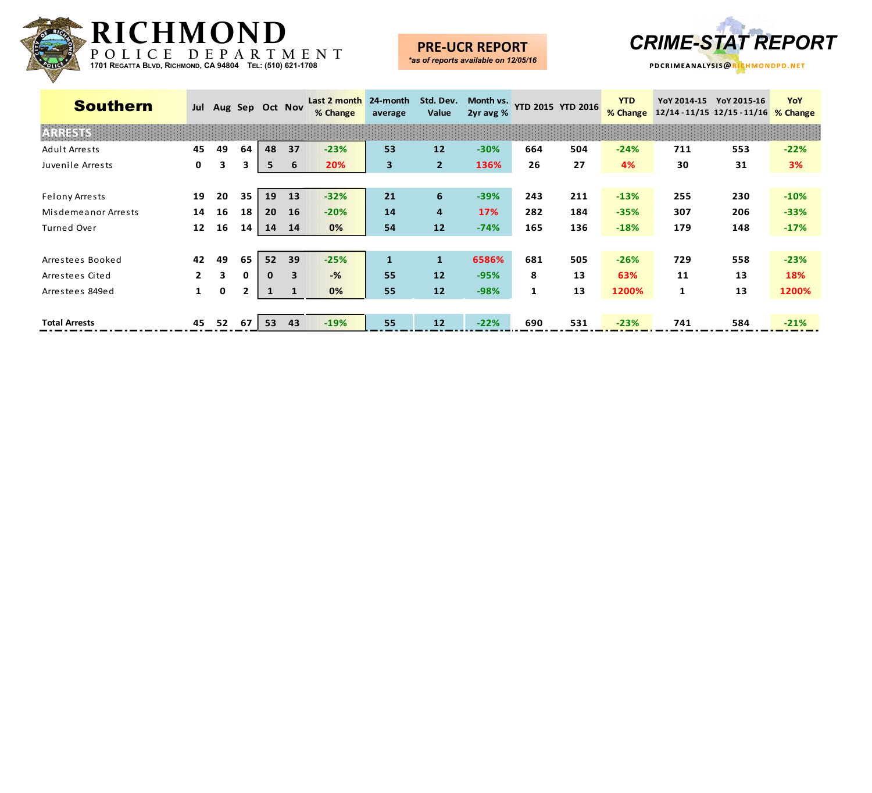![](_page_9_Picture_0.jpeg)

**PRE-UCR REPORT** 

![](_page_9_Picture_2.jpeg)

| <b>Southern</b>       | Jul          |    |              |              | Aug Sep Oct Nov         | Last 2 month<br>% Change | 24-month<br>average | Std. Dev.<br>Value | Month vs.<br>2yr avg % |     | YTD 2015 YTD 2016 | <b>YTD</b><br>% Change | YoY 2014-15<br>$12/14 - 11/15$ 12/15 - 11/16 | YoY 2015-16 | YoY<br>% Change |
|-----------------------|--------------|----|--------------|--------------|-------------------------|--------------------------|---------------------|--------------------|------------------------|-----|-------------------|------------------------|----------------------------------------------|-------------|-----------------|
|                       |              |    |              |              |                         |                          |                     |                    |                        |     |                   |                        |                                              |             |                 |
| Adult Arrests         | 45           | 49 | 64           | 48           | 37                      | $-23%$                   | 53                  | 12                 | $-30%$                 | 664 | 504               | $-24%$                 | 711                                          | 553         | $-22%$          |
| Juvenile Arrests      | $\mathbf 0$  | 3  | 3.           | 5            | 6                       | 20%                      | 3                   | 2 <sup>2</sup>     | 136%                   | 26  | 27                | 4%                     | 30                                           | 31          | 3%              |
|                       |              |    |              |              |                         |                          |                     |                    |                        |     |                   |                        |                                              |             |                 |
| <b>Felony Arrests</b> | 19           | 20 | 35           | 19           | 13                      | $-32%$                   | 21                  | 6                  | $-39%$                 | 243 | 211               | $-13%$                 | 255                                          | 230         | $-10%$          |
| Misdemeanor Arrests   | 14           | 16 | 18           | 20           | <b>16</b>               | $-20%$                   | 14                  | 4                  | 17%                    | 282 | 184               | $-35%$                 | 307                                          | 206         | $-33%$          |
| Turned Over           | 12           | 16 | 14           | 14           | 14                      | 0%                       | 54                  | 12                 | $-74%$                 | 165 | 136               | $-18%$                 | 179                                          | 148         | $-17%$          |
|                       |              |    |              |              |                         |                          |                     |                    |                        |     |                   |                        |                                              |             |                 |
| Arrestees Booked      | 42           | 49 | 65           | 52           | 39                      | $-25%$                   | $\mathbf{1}$        | $\mathbf{1}$       | 6586%                  | 681 | 505               | $-26%$                 | 729                                          | 558         | $-23%$          |
| Arrestees Cited       | $\mathbf{2}$ | 3  | $\mathbf{0}$ | $\mathbf{0}$ | $\overline{\mathbf{3}}$ | $-$ %                    | 55                  | 12                 | $-95%$                 | 8   | 13                | 63%                    | 11                                           | 13          | 18%             |
| Arrestees 849ed       | $\mathbf{1}$ | 0  | $\mathbf{2}$ | $\mathbf{1}$ | $\mathbf{1}$            | 0%                       | 55                  | 12                 | $-98%$                 | 1   | 13                | 1200%                  | $\mathbf{1}$                                 | 13          | 1200%           |
|                       |              |    |              |              |                         |                          |                     |                    |                        |     |                   |                        |                                              |             |                 |
| <b>Total Arrests</b>  | 45           | 52 | 67           | 53           | 43                      | $-19%$                   | 55                  | 12                 | $-22%$                 | 690 | 531               | $-23%$                 | 741                                          | 584         | $-21%$          |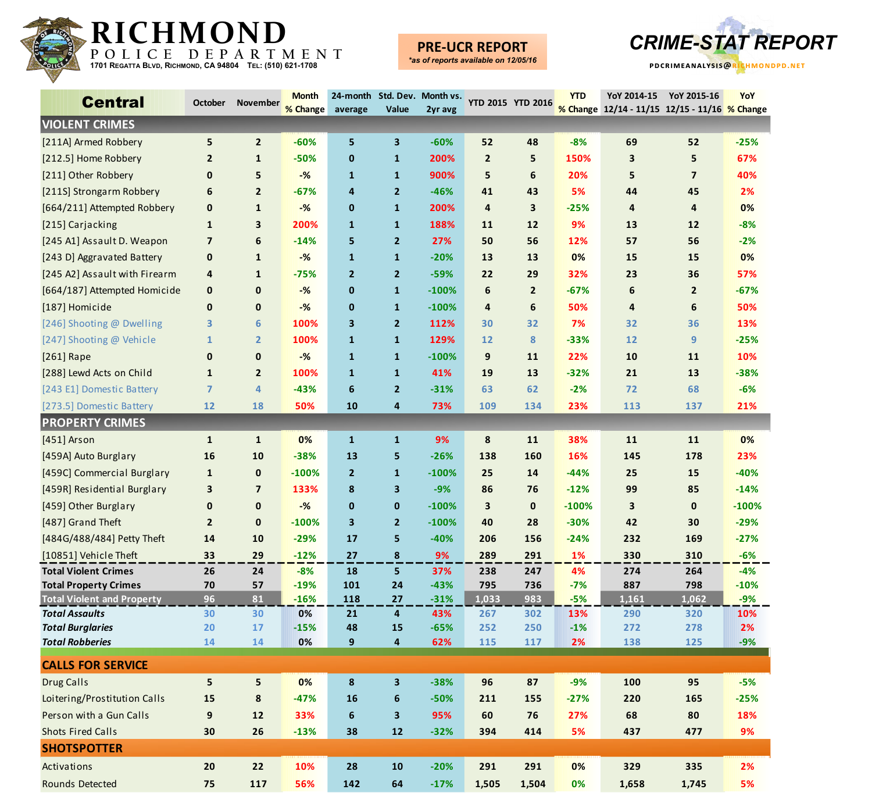![](_page_10_Picture_0.jpeg)

## **PRE-UCR REPORT**

![](_page_10_Picture_3.jpeg)

| <b>Central</b>                                    | <b>October</b> | <b>November</b> | <b>Month</b><br>% Change | average        | Value                         | 24-month Std. Dev. Month vs.<br>2yr avg | YTD 2015 YTD 2016 |              | <b>YTD</b>  | YoY 2014-15<br>% Change 12/14 - 11/15 12/15 - 11/16 % Change | YoY 2015-16    | YoY         |
|---------------------------------------------------|----------------|-----------------|--------------------------|----------------|-------------------------------|-----------------------------------------|-------------------|--------------|-------------|--------------------------------------------------------------|----------------|-------------|
| <b>VIOLENT CRIMES</b>                             |                |                 |                          |                |                               |                                         |                   |              |             |                                                              |                |             |
| [211A] Armed Robbery                              | 5              | $\overline{2}$  | $-60%$                   | 5              | 3                             | $-60%$                                  | 52                | 48           | $-8%$       | 69                                                           | 52             | $-25%$      |
| [212.5] Home Robbery                              | $\overline{2}$ | $\mathbf{1}$    | $-50%$                   | 0              | $\mathbf{1}$                  | 200%                                    | $\overline{2}$    | 5            | 150%        | 3                                                            | 5              | 67%         |
| [211] Other Robbery                               | $\mathbf 0$    | 5               | $-%$                     | $\mathbf{1}$   | $\mathbf{1}$                  | 900%                                    | 5                 | 6            | 20%         | 5                                                            | $\overline{7}$ | 40%         |
| [211S] Strongarm Robbery                          | 6              | $\overline{2}$  | $-67%$                   | 4              | $\overline{2}$                | $-46%$                                  | 41                | 43           | 5%          | 44                                                           | 45             | 2%          |
| [664/211] Attempted Robbery                       | $\mathbf 0$    | $\mathbf{1}$    | $-%$                     | $\mathbf 0$    | $\mathbf{1}$                  | 200%                                    | $\overline{4}$    | 3            | $-25%$      | 4                                                            | 4              | 0%          |
| [215] Carjacking                                  | $\mathbf{1}$   | 3               | 200%                     | $\mathbf{1}$   | $\mathbf{1}$                  | 188%                                    | 11                | 12           | 9%          | 13                                                           | 12             | $-8%$       |
| [245 A1] Assault D. Weapon                        | $\overline{7}$ | 6               | $-14%$                   | 5              | $\overline{2}$                | 27%                                     | 50                | 56           | 12%         | 57                                                           | 56             | $-2%$       |
| [243 D] Aggravated Battery                        | $\mathbf 0$    | $\mathbf{1}$    | $-%$                     | $\mathbf{1}$   | $\mathbf{1}$                  | $-20%$                                  | 13                | 13           | 0%          | 15                                                           | 15             | 0%          |
| [245 A2] Assault with Firearm                     | 4              | $\mathbf{1}$    | $-75%$                   | $\overline{2}$ | $\overline{2}$                | $-59%$                                  | 22                | 29           | 32%         | 23                                                           | 36             | 57%         |
| [664/187] Attempted Homicide                      | $\mathbf 0$    | $\mathbf 0$     | $-%$                     | $\mathbf 0$    | $\mathbf{1}$                  | $-100%$                                 | 6                 | $\mathbf{2}$ | $-67%$      | 6                                                            | $\overline{2}$ | $-67%$      |
| [187] Homicide                                    | $\mathbf 0$    | $\mathbf 0$     | $-%$                     | $\mathbf 0$    | $\mathbf{1}$                  | $-100%$                                 | 4                 | 6            | 50%         | 4                                                            | 6              | 50%         |
| [246] Shooting @ Dwelling                         | 3              | 6               | 100%                     | 3              | $\overline{2}$                | 112%                                    | 30                | 32           | 7%          | 32                                                           | 36             | 13%         |
| [247] Shooting @ Vehicle                          | $\mathbf{1}$   | $\overline{2}$  | 100%                     | $\mathbf{1}$   | $\mathbf{1}$                  | 129%                                    | 12                | 8            | $-33%$      | 12                                                           | 9              | $-25%$      |
| [261] Rape                                        | $\mathbf 0$    | $\mathbf 0$     | $-%$                     | $\mathbf{1}$   | $\mathbf{1}$                  | $-100%$                                 | 9                 | 11           | 22%         | 10                                                           | 11             | 10%         |
| [288] Lewd Acts on Child                          | $\mathbf{1}$   | $\overline{2}$  | 100%                     | $\mathbf{1}$   | $\mathbf{1}$                  | 41%                                     | 19                | 13           | $-32%$      | 21                                                           | 13             | $-38%$      |
| [243 E1] Domestic Battery                         | $\overline{7}$ | $\overline{4}$  | $-43%$                   | 6              | $\overline{2}$                | $-31%$                                  | 63                | 62           | $-2%$       | 72                                                           | 68             | $-6%$       |
| [273.5] Domestic Battery                          | 12             | 18              | 50%                      | 10             | 4                             | 73%                                     | 109               | 134          | 23%         | 113                                                          | 137            | 21%         |
| <b>PROPERTY CRIMES</b>                            |                |                 |                          |                |                               |                                         |                   |              |             |                                                              |                |             |
| [451] Arson                                       | $\mathbf{1}$   | $\mathbf{1}$    | 0%                       | $\mathbf{1}$   | $\mathbf{1}$                  | 9%                                      | 8                 | 11           | 38%         | 11                                                           | 11             | 0%          |
| [459A] Auto Burglary                              | 16             | 10              | $-38%$                   | 13             | 5                             | $-26%$                                  | 138               | 160          | 16%         | 145                                                          | 178            | 23%         |
| [459C] Commercial Burglary                        | $\mathbf{1}$   | $\mathbf 0$     | $-100%$                  | $\mathbf{2}$   | $\mathbf{1}$                  | $-100%$                                 | 25                | 14           | $-44%$      | 25                                                           | 15             | $-40%$      |
| [459R] Residential Burglary                       | 3              | $\overline{7}$  | 133%                     | 8              | $\mathbf{3}$                  | $-9%$                                   | 86                | 76           | $-12%$      | 99                                                           | 85             | $-14%$      |
| [459] Other Burglary                              | $\mathbf 0$    | $\mathbf 0$     | $-%$                     | $\mathbf 0$    | $\mathbf 0$                   | $-100%$                                 | 3                 | 0            | $-100%$     | 3                                                            | $\mathbf 0$    | $-100%$     |
| [487] Grand Theft                                 | $\overline{2}$ | $\mathbf 0$     | $-100%$                  | 3              | $\overline{2}$                | $-100%$                                 | 40                | 28           | $-30%$      | 42                                                           | 30             | $-29%$      |
| [484G/488/484] Petty Theft                        | 14             | 10              | $-29%$                   | 17             | 5                             | $-40%$                                  | 206               | 156          | $-24%$      | 232                                                          | 169            | $-27%$      |
| [10851] Vehicle Theft                             | 33             | 29              | $-12%$                   | 27             | 8                             | 9%                                      | 289               | 291          | <b>1%</b>   | 330                                                          | 310            | $-6%$       |
| <b>Total Violent Crimes</b>                       | 26             | 24              | $-8%$                    | 18             | 5                             | 37%                                     | 238               | 247          | 4%          | 274                                                          | 264            | $-4%$       |
| <b>Total Property Crimes</b>                      | 70             | 57              | $-19%$                   | <b>101</b>     | 24                            | -43%                                    | 795               | 736          | -7%         | 887                                                          | 798            | $-10%$      |
| <b>Total Violent and Property</b>                 | 96             | 81              | $-16%$                   | 118            | 27                            | $-31%$                                  | 1,033             | 983          | $-5%$       | 1,161                                                        | 1,062          | $-9%$       |
| <b>Total Assaults</b>                             | 30             | 30              | 0%                       | 21             | $\overline{\mathbf{4}}$       | 43%                                     | 267               | 302          | 13%         | 290                                                          | 320            | 10%         |
| <b>Total Burglaries</b><br><b>Total Robberies</b> | 20<br>14       | 17<br>14        | $-15%$<br>0%             | 48<br>9        | 15<br>$\overline{\mathbf{4}}$ | $-65%$<br>62%                           | 252<br>115        | 250<br>117   | $-1%$<br>2% | 272<br>138                                                   | 278<br>125     | 2%<br>$-9%$ |
|                                                   |                |                 |                          |                |                               |                                         |                   |              |             |                                                              |                |             |
| <b>CALLS FOR SERVICE</b>                          |                |                 |                          |                |                               |                                         |                   |              |             |                                                              |                |             |
| Drug Calls                                        | 5              | 5               | 0%                       | ${\bf 8}$      | $\overline{\mathbf{3}}$       | $-38%$                                  | 96                | 87           | $-9%$       | 100                                                          | 95             | $-5%$       |
| Loitering/Prostitution Calls                      | 15             | 8               | $-47%$                   | 16             | 6                             | $-50%$                                  | 211               | 155          | $-27%$      | 220                                                          | 165            | $-25%$      |
| Person with a Gun Calls                           | 9              | 12              | 33%                      | $\bf 6$        | $\overline{\mathbf{3}}$       | 95%                                     | 60                | 76           | 27%         | 68                                                           | 80             | 18%         |
| <b>Shots Fired Calls</b>                          | 30             | 26              | $-13%$                   | 38             | 12                            | $-32%$                                  | 394               | 414          | 5%          | 437                                                          | 477            | 9%          |
| <b>SHOTSPOTTER</b>                                |                |                 |                          |                |                               |                                         |                   |              |             |                                                              |                |             |
| Activations                                       | 20             | 22              | 10%                      | 28             | 10                            | $-20%$                                  | 291               | 291          | 0%          | 329                                                          | 335            | 2%          |
| <b>Rounds Detected</b>                            | 75             | 117             | 56%                      | 142            | 64                            | $-17%$                                  | 1,505             | 1,504        | 0%          | 1,658                                                        | 1,745          | 5%          |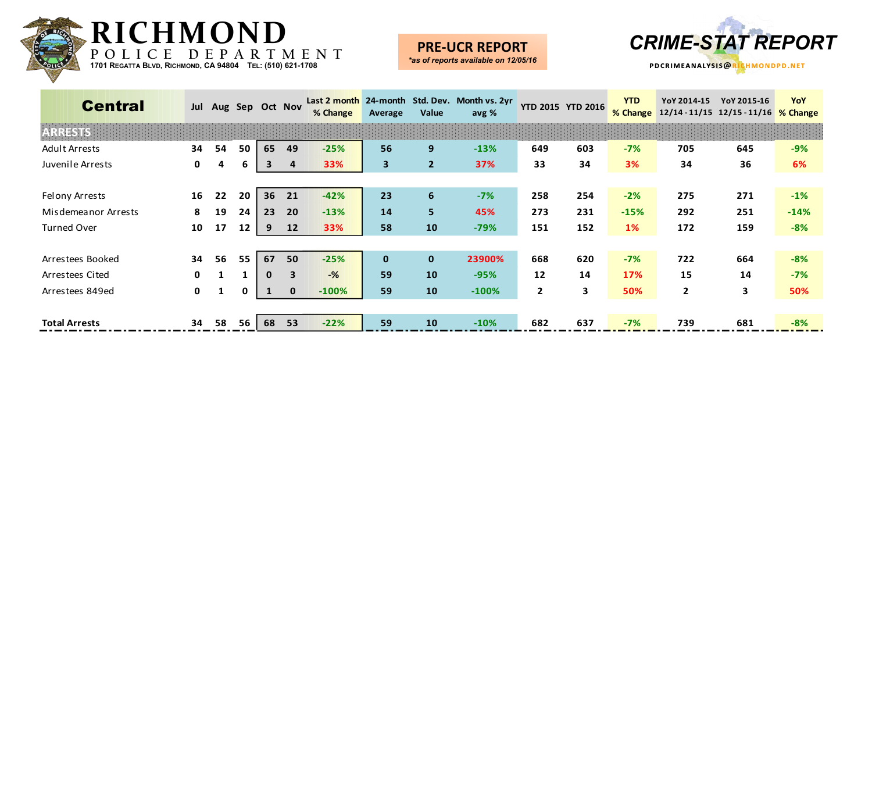![](_page_11_Picture_0.jpeg)

**PRE-UCR REPORT** *\*as of reports available on 12/05/16*

![](_page_11_Picture_2.jpeg)

| <b>Central</b>       | Jul          | Aug Sep Oct Nov |    |              |                         | % Change | Average                 | Value          | Last 2 month 24-month Std. Dev. Month vs. 2yr<br>avg % |              | <b>YTD 2015 YTD 2016</b> | <b>YTD</b><br>% Change | YoY 2014-15    | YoY 2015-16<br>12/14 - 11/15 12/15 - 11/16 % Change | YoY    |
|----------------------|--------------|-----------------|----|--------------|-------------------------|----------|-------------------------|----------------|--------------------------------------------------------|--------------|--------------------------|------------------------|----------------|-----------------------------------------------------|--------|
| ESTIST               |              |                 |    |              |                         |          |                         |                |                                                        |              |                          |                        |                |                                                     |        |
| <b>Adult Arrests</b> | 34           | 54              | 50 | 65           | 49                      | $-25%$   | 56                      | 9              | $-13%$                                                 | 649          | 603                      | $-7%$                  | 705            | 645                                                 | $-9%$  |
| Juvenile Arrests     | 0            | 4               | 6  | 3            | 4                       | 33%      | $\overline{\mathbf{3}}$ | $\overline{2}$ | 37%                                                    | 33           | 34                       | 3%                     | 34             | 36                                                  | 6%     |
|                      |              |                 |    |              |                         |          |                         |                |                                                        |              |                          |                        |                |                                                     |        |
| Felony Arrests       | 16           | 22              | 20 | 36           | 21                      | $-42%$   | 23                      | 6              | $-7%$                                                  | 258          | 254                      | $-2%$                  | 275            | 271                                                 | $-1%$  |
| Misdemeanor Arrests  | 8            | 19              | 24 | 23           | 20                      | $-13%$   | 14                      | 5              | 45%                                                    | 273          | 231                      | $-15%$                 | 292            | 251                                                 | $-14%$ |
| <b>Turned Over</b>   | 10           | 17              | 12 | 9            | 12                      | 33%      | 58                      | 10             | $-79%$                                                 | 151          | 152                      | 1%                     | 172            | 159                                                 | $-8%$  |
|                      |              |                 |    |              |                         |          |                         |                |                                                        |              |                          |                        |                |                                                     |        |
| Arrestees Booked     | 34           | 56              | 55 | 67           | 50                      | $-25%$   | $\mathbf{0}$            | $\mathbf{0}$   | 23900%                                                 | 668          | 620                      | $-7%$                  | 722            | 664                                                 | $-8%$  |
| Arrestees Cited      | $\mathbf{0}$ |                 |    | $\mathbf{0}$ | $\overline{\mathbf{3}}$ | $-$ %    | 59                      | 10             | $-95%$                                                 | 12           | 14                       | 17%                    | 15             | 14                                                  | $-7%$  |
| Arrestees 849ed      | $\mathbf{0}$ | 1               | 0  |              | $\mathbf 0$             | $-100%$  | 59                      | 10             | $-100%$                                                | $\mathbf{2}$ | 3                        | 50%                    | $\overline{2}$ | 3                                                   | 50%    |
|                      |              |                 |    |              |                         |          |                         |                |                                                        |              |                          |                        |                |                                                     |        |
| <b>Total Arrests</b> | 34           | 58              | 56 | 68           | 53                      | $-22%$   | 59                      | 10             | $-10%$                                                 | 682          | 637                      | $-7%$                  | 739            | 681                                                 | $-8%$  |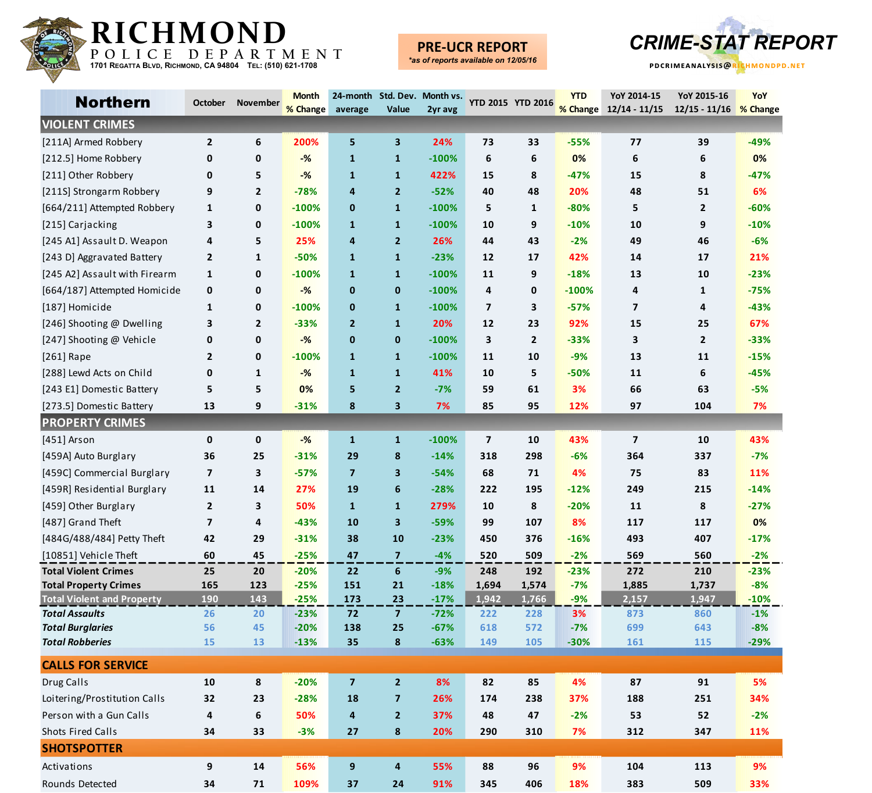![](_page_12_Picture_0.jpeg)

### **PRE-UCR REPORT**

![](_page_12_Picture_4.jpeg)

| <b>Northern</b>                   | <b>October</b>          | November       | <b>Month</b> |                |                         | 24-month Std. Dev. Month vs. YTD 2015 YTD 2016 |                         |                | <b>YTD</b> | YoY 2014-15             | YoY 2015-16            | YoY    |
|-----------------------------------|-------------------------|----------------|--------------|----------------|-------------------------|------------------------------------------------|-------------------------|----------------|------------|-------------------------|------------------------|--------|
|                                   |                         |                | % Change     | average        | Value                   | 2yr avg                                        |                         |                |            | % Change 12/14 - 11/15  | 12/15 - 11/16 % Change |        |
| <b>VIOLENT CRIMES</b>             |                         |                |              |                |                         |                                                |                         |                |            |                         |                        |        |
| [211A] Armed Robbery              | $\mathbf{2}$            | 6              | 200%         | 5              | 3                       | 24%                                            | 73                      | 33             | $-55%$     | 77                      | 39                     | $-49%$ |
| [212.5] Home Robbery              | 0                       | $\mathbf{0}$   | $-%$         | $\mathbf{1}$   | $\mathbf{1}$            | $-100%$                                        | 6                       | 6              | 0%         | 6                       | 6                      | 0%     |
| [211] Other Robbery               | 0                       | 5              | $-%$         | $\mathbf{1}$   | $\mathbf{1}$            | 422%                                           | 15                      | 8              | $-47%$     | 15                      | 8                      | $-47%$ |
| [211S] Strongarm Robbery          | 9                       | $\overline{2}$ | $-78%$       | 4              | $\overline{2}$          | $-52%$                                         | 40                      | 48             | 20%        | 48                      | 51                     | 6%     |
| [664/211] Attempted Robbery       | 1                       | 0              | $-100%$      | $\mathbf 0$    | $\mathbf{1}$            | $-100%$                                        | 5                       | $\mathbf{1}$   | $-80%$     | 5                       | $\mathbf{2}$           | $-60%$ |
| [215] Carjacking                  | 3                       | $\mathbf{0}$   | $-100%$      | $\mathbf{1}$   | $\mathbf{1}$            | $-100%$                                        | 10                      | 9              | $-10%$     | 10                      | 9                      | $-10%$ |
| [245 A1] Assault D. Weapon        | 4                       | 5              | 25%          | 4              | $\overline{2}$          | 26%                                            | 44                      | 43             | $-2%$      | 49                      | 46                     | $-6%$  |
| [243 D] Aggravated Battery        | $\mathbf{2}$            | $\mathbf{1}$   | $-50%$       | $\mathbf{1}$   | $\mathbf{1}$            | $-23%$                                         | 12                      | 17             | 42%        | 14                      | 17                     | 21%    |
| [245 A2] Assault with Firearm     | 1                       | 0              | $-100%$      | $\mathbf{1}$   | $\mathbf{1}$            | $-100%$                                        | 11                      | 9              | $-18%$     | 13                      | 10                     | $-23%$ |
| [664/187] Attempted Homicide      | 0                       | 0              | $-%$         | $\mathbf{0}$   | $\mathbf 0$             | $-100%$                                        | 4                       | $\mathbf 0$    | $-100%$    | 4                       | 1                      | $-75%$ |
| [187] Homicide                    | $\mathbf{1}$            | 0              | $-100%$      | $\mathbf{0}$   | $\mathbf{1}$            | $-100%$                                        | $\overline{7}$          | 3              | $-57%$     | $\overline{\mathbf{z}}$ | 4                      | $-43%$ |
| [246] Shooting @ Dwelling         | 3                       | $\overline{2}$ | $-33%$       | $\overline{2}$ | $\mathbf{1}$            | 20%                                            | 12                      | 23             | 92%        | 15                      | 25                     | 67%    |
| [247] Shooting @ Vehicle          | 0                       | 0              | $-%$         | $\mathbf 0$    | $\mathbf{0}$            | $-100%$                                        | 3                       | $\overline{2}$ | $-33%$     | 3                       | $\mathbf 2$            | $-33%$ |
| [261] Rape                        | $\mathbf{2}$            | 0              | $-100%$      | $\mathbf{1}$   | $\mathbf{1}$            | $-100%$                                        | 11                      | 10             | $-9%$      | 13                      | 11                     | $-15%$ |
| [288] Lewd Acts on Child          | 0                       | 1              | $-%$         | $\mathbf{1}$   | $\mathbf{1}$            | 41%                                            | 10                      | 5              | $-50%$     | 11                      | 6                      | $-45%$ |
| [243 E1] Domestic Battery         | 5                       | 5              | 0%           | 5              | $\overline{2}$          | $-7%$                                          | 59                      | 61             | 3%         | 66                      | 63                     | $-5%$  |
| [273.5] Domestic Battery          | 13                      | 9              | $-31%$       | 8              | 3                       | 7%                                             | 85                      | 95             | 12%        | 97                      | 104                    | 7%     |
| <b>PROPERTY CRIMES</b>            |                         |                |              |                |                         |                                                |                         |                |            |                         |                        |        |
| [451] Arson                       | 0                       | 0              | $-%$         | $\mathbf{1}$   | $\mathbf{1}$            | $-100%$                                        | $\overline{\mathbf{z}}$ | 10             | 43%        | $\overline{7}$          | 10                     | 43%    |
| [459A] Auto Burglary              | 36                      | 25             | $-31%$       | 29             | 8                       | $-14%$                                         | 318                     | 298            | $-6%$      | 364                     | 337                    | $-7%$  |
| [459C] Commercial Burglary        | $\overline{\mathbf{z}}$ | 3              | $-57%$       | $\overline{7}$ | 3                       | $-54%$                                         | 68                      | 71             | 4%         | 75                      | 83                     | 11%    |
| [459R] Residential Burglary       | 11                      | 14             | 27%          | 19             | 6                       | $-28%$                                         | 222                     | 195            | $-12%$     | 249                     | 215                    | $-14%$ |
| [459] Other Burglary              | $\mathbf{2}$            | 3              | 50%          | $\mathbf{1}$   | $\mathbf{1}$            | 279%                                           | 10                      | 8              | $-20%$     | 11                      | 8                      | $-27%$ |
| [487] Grand Theft                 | $\overline{\mathbf{z}}$ | 4              | $-43%$       | 10             | 3                       | $-59%$                                         | 99                      | 107            | 8%         | 117                     | 117                    | 0%     |
| [484G/488/484] Petty Theft        | 42                      | 29             | $-31%$       | 38             | 10                      | $-23%$                                         | 450                     | 376            | $-16%$     | 493                     | 407                    | $-17%$ |
| [10851] Vehicle Theft             | 60                      | 45             | $-25%$       | 47             | $\overline{7}$          | $-4%$                                          | 520                     | 509            | $-2%$      | 569                     | 560                    | $-2%$  |
| <b>Total Violent Crimes</b>       | 25                      | 20             | $-20%$       | 22             | 6                       | $-9%$                                          | 248                     | 192            | $-23%$     | 272                     | 210                    | $-23%$ |
| <b>Total Property Crimes</b>      | 165                     | 123            | $-25%$       | 151            | 21                      | $-18%$                                         | 1,694                   | 1,574          | $-7%$      | 1,885                   | 1,737                  | $-8%$  |
| <b>Total Violent and Property</b> | <b>190</b>              | 143            | $-25%$       | 173            | 23                      | $-17%$                                         | 1,942                   | 1,766          | $-9%$      | 2,157                   | 1,947                  | $-10%$ |
| <b>Total Assaults</b>             | 26                      | 20             | $-23%$       | 72             | $\overline{7}$          | $-72%$                                         | 222                     | 228            | 3%         | 873                     | 860                    | $-1%$  |
| <b>Total Burglaries</b>           | 56                      | 45             | $-20%$       | 138            | 25                      | $-67%$                                         | 618                     | 572            | $-7%$      | 699                     | 643                    | $-8%$  |
| <b>Total Robberies</b>            | 15                      | 13             | $-13%$       | 35             | 8                       | $-63%$                                         | 149                     | 105            | $-30%$     | 161                     | 115                    | $-29%$ |
| <b>CALLS FOR SERVICE</b>          |                         |                |              |                |                         |                                                |                         |                |            |                         |                        |        |
| Drug Calls                        | 10                      | 8              | $-20%$       | $\overline{7}$ | $\overline{2}$          | 8%                                             | 82                      | 85             | 4%         | 87                      | 91                     | 5%     |
| Loitering/Prostitution Calls      | 32                      | 23             | $-28%$       | 18             | $\overline{\mathbf{z}}$ | 26%                                            | 174                     | 238            | 37%        | 188                     | 251                    | 34%    |
| Person with a Gun Calls           | 4                       | 6              | 50%          | 4              | $\overline{2}$          | 37%                                            | 48                      | 47             | $-2%$      | 53                      | 52                     | $-2%$  |
| Shots Fired Calls                 | 34                      | 33             | $-3%$        | 27             | ${\bf 8}$               | 20%                                            | 290                     | 310            | 7%         | 312                     | 347                    | 11%    |
| <b>SHOTSPOTTER</b>                |                         |                |              |                |                         |                                                |                         |                |            |                         |                        |        |
| Activations                       | 9                       | 14             | 56%          | 9              | 4                       | 55%                                            | 88                      | 96             | 9%         | 104                     | 113                    | 9%     |
| Rounds Detected                   | 34                      | 71             | 109%         | 37             | 24                      | 91%                                            | 345                     | 406            | 18%        | 383                     | 509                    | 33%    |